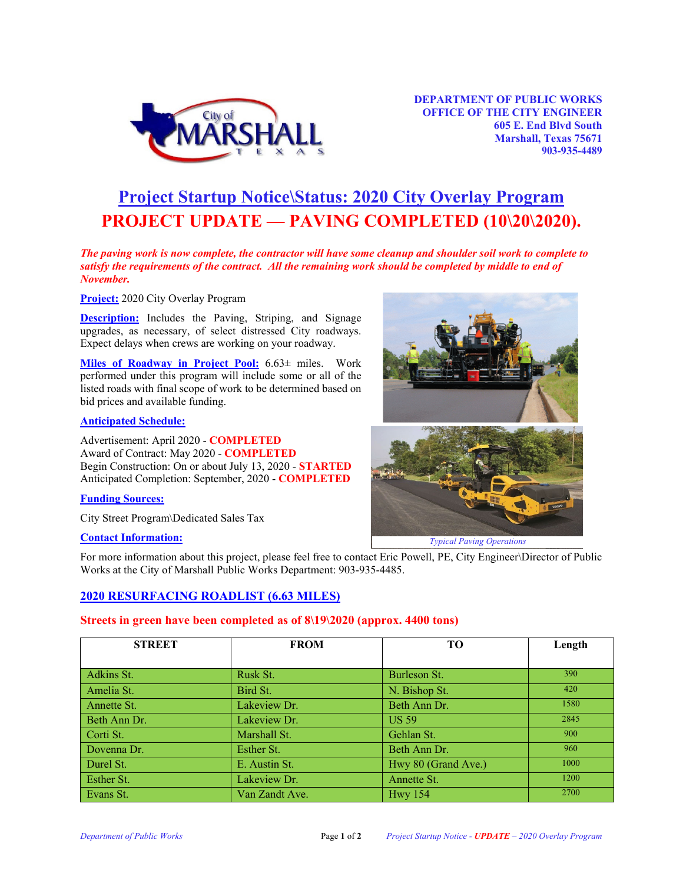

# **Project Startup Notice\Status: 2020 City Overlay Program PROJECT UPDATE –– PAVING COMPLETED (10\20\2020).**

*The paving work is now complete, the contractor will have some cleanup and shoulder soil work to complete to satisfy the requirements of the contract. All the remaining work should be completed by middle to end of November.* 

**Project:** 2020 City Overlay Program

**Description:** Includes the Paving, Striping, and Signage upgrades, as necessary, of select distressed City roadways. Expect delays when crews are working on your roadway.

**Miles of Roadway in Project Pool:** 6.63± miles. Work performed under this program will include some or all of the listed roads with final scope of work to be determined based on bid prices and available funding.

#### **Anticipated Schedule:**

Advertisement: April 2020 - **COMPLETED** Award of Contract: May 2020 - **COMPLETED** Begin Construction: On or about July 13, 2020 - **STARTED** Anticipated Completion: September, 2020 - **COMPLETED**

#### **Funding Sources:**

City Street Program\Dedicated Sales Tax

## **Contact Information:**

For more information about this project, please feel free to contact Eric Powell, PE, City Engineer\Director of Public Works at the City of Marshall Public Works Department: 903-935-4485.

## **2020 RESURFACING ROADLIST (6.63 MILES)**

## **Streets in green have been completed as of 8\19\2020 (approx. 4400 tons)**

| <b>STREET</b> | <b>FROM</b>    | TO                  | Length |
|---------------|----------------|---------------------|--------|
|               |                |                     |        |
| Adkins St.    | Rusk St.       | Burleson St.        | 390    |
| Amelia St.    | Bird St.       | N. Bishop St.       | 420    |
| Annette St.   | Lakeview Dr.   | Beth Ann Dr.        | 1580   |
| Beth Ann Dr.  | Lakeview Dr.   | US 59               | 2845   |
| Corti St.     | Marshall St.   | Gehlan St.          | 900    |
| Dovenna Dr.   | Esther St.     | Beth Ann Dr.        | 960    |
| Durel St.     | E. Austin St.  | Hwy 80 (Grand Ave.) | 1000   |
| Esther St.    | Lakeview Dr.   | Annette St.         | 1200   |
| Evans St.     | Van Zandt Ave. | <b>Hwy</b> 154      | 2700   |





*Typical Paving Operations*